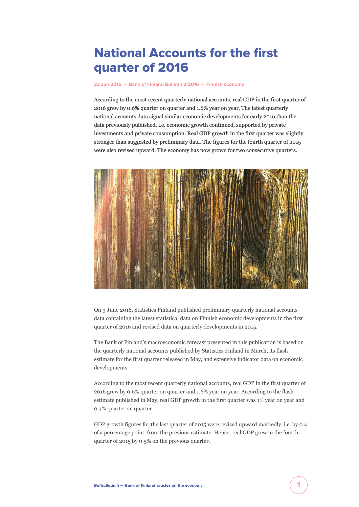## National Accounts for the first quarter of 2016

**[23 Jun 2016](https://www.bofbulletin.fi/en/archive/?date=2016-06-23) – [Bank of Finland Bulletin 3/2016](https://www.bofbulletin.fi/en/archive/?issue=2016-3) – [Finnish economy](https://www.bofbulletin.fi/en/finnish-economy/)**

According to the most recent quarterly national accounts, real GDP in the first quarter of 2016 grew by 0.6% quarter on quarter and 1.6% year on year. The latest quarterly national accounts data signal similar economic developments for early 2016 than the data previously published, i.e. economic growth continued, supported by private investments and private consumption. Real GDP growth in the first quarter was slightly stronger than suggested by preliminary data. The figures for the fourth quarter of 2015 were also revised upward. The economy has now grown for two consecutive quarters.



On 3 June 2016, Statistics Finland published preliminary quarterly national accounts data containing the latest statistical data on Finnish economic developments in the first quarter of 2016 and revised data on quarterly developments in 2015.

The Bank of Finland's macroeconomic forecast presented in this publication is based on the quarterly national accounts published by Statistics Finland in March, its flash estimate for the first quarter released in May, and extensive indicator data on economic developments.

According to the most recent quarterly national accounts, real GDP in the first quarter of 2016 grew by 0.6% quarter on quarter and 1.6% year on year. According to the flash estimate published in May, real GDP growth in the first quarter was 1% year on year and 0.4% quarter on quarter.

GDP growth figures for the last quarter of 2015 were revised upward markedly, i.e. by 0.4 of a percentage point, from the previous estimate. Hence, real GDP grew in the fourth quarter of 2015 by 0.5% on the previous quarter.